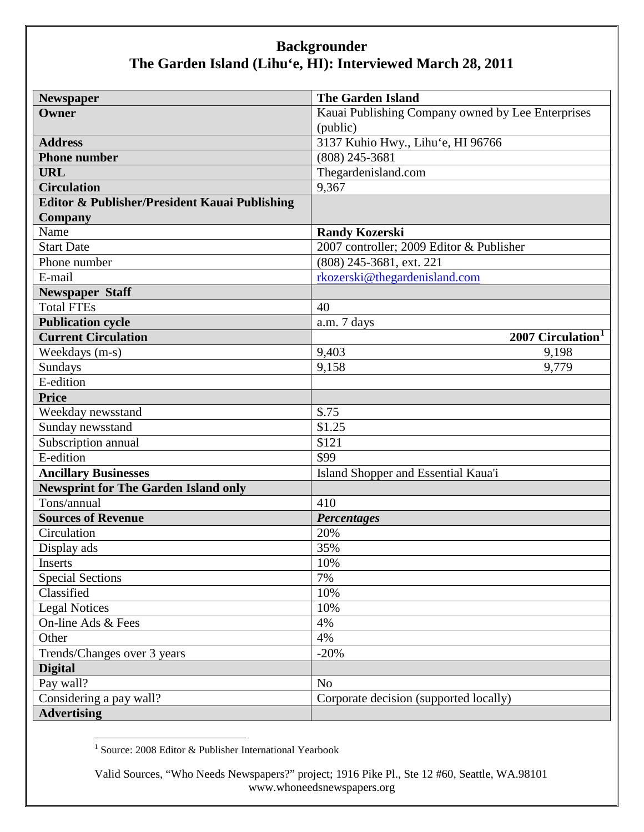| <b>Newspaper</b>                              | <b>The Garden Island</b>                          |
|-----------------------------------------------|---------------------------------------------------|
| Owner                                         | Kauai Publishing Company owned by Lee Enterprises |
|                                               | (public)                                          |
| <b>Address</b>                                | 3137 Kuhio Hwy., Lihu'e, HI 96766                 |
| <b>Phone number</b>                           | $(808)$ 245-3681                                  |
| <b>URL</b>                                    | Thegardenisland.com                               |
| <b>Circulation</b>                            | 9,367                                             |
| Editor & Publisher/President Kauai Publishing |                                                   |
| <b>Company</b>                                |                                                   |
| Name                                          | <b>Randy Kozerski</b>                             |
| <b>Start Date</b>                             | 2007 controller; 2009 Editor & Publisher          |
| Phone number                                  | (808) 245-3681, ext. 221                          |
| E-mail                                        | rkozerski@thegardenisland.com                     |
| <b>Newspaper Staff</b>                        |                                                   |
| <b>Total FTEs</b>                             | 40                                                |
| <b>Publication cycle</b>                      | a.m. 7 days                                       |
| <b>Current Circulation</b>                    | 2007 Circulation <sup>1</sup>                     |
| Weekdays (m-s)                                | 9,403<br>9,198                                    |
| Sundays                                       | 9,158<br>9,779                                    |
| E-edition                                     |                                                   |
| <b>Price</b>                                  |                                                   |
| Weekday newsstand                             | \$.75                                             |
| Sunday newsstand                              | $\overline{$}1.25$                                |
| Subscription annual                           | \$121                                             |
| E-edition                                     | \$99                                              |
| <b>Ancillary Businesses</b>                   | Island Shopper and Essential Kaua'i               |
| <b>Newsprint for The Garden Island only</b>   |                                                   |
| Tons/annual                                   | 410                                               |
| <b>Sources of Revenue</b>                     | <b>Percentages</b>                                |
| Circulation                                   | 20%                                               |
| Display ads                                   | 35%                                               |
| Inserts                                       | 10%                                               |
| <b>Special Sections</b>                       | 7%                                                |
| Classified                                    | 10%                                               |
| <b>Legal Notices</b>                          | 10%                                               |
| On-line Ads & Fees                            | 4%                                                |
| Other                                         | 4%                                                |
| Trends/Changes over 3 years                   | $-20%$                                            |
| <b>Digital</b>                                |                                                   |
| Pay wall?                                     | N <sub>o</sub>                                    |
| Considering a pay wall?                       | Corporate decision (supported locally)            |
| <b>Advertising</b>                            |                                                   |

<span id="page-0-0"></span><sup>&</sup>lt;sup>1</sup> Source: 2008 Editor & Publisher International Yearbook

Valid Sources, "Who Needs Newspapers?" project; 1916 Pike Pl., Ste 12 #60, Seattle, WA.98101 www.whoneedsnewspapers.org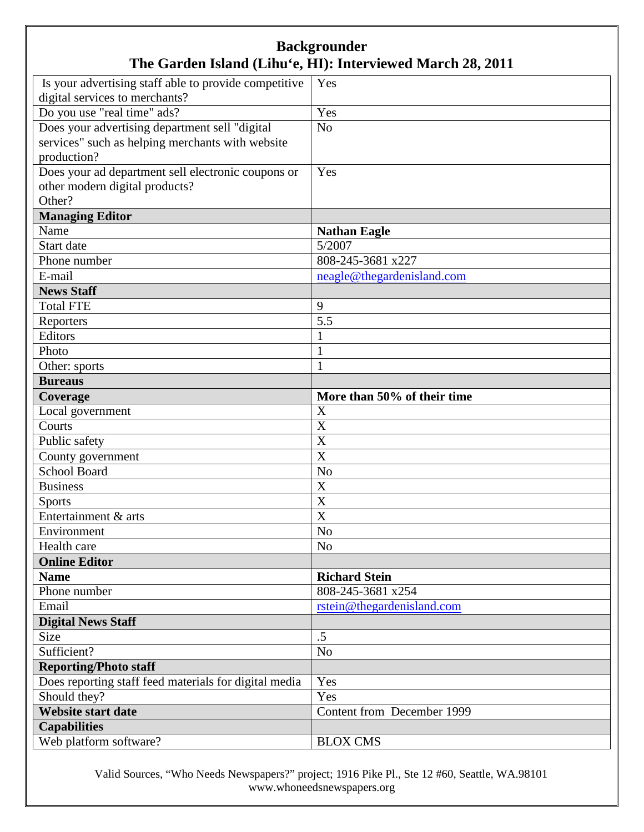| Is your advertising staff able to provide competitive | Yes                         |
|-------------------------------------------------------|-----------------------------|
| digital services to merchants?                        |                             |
| Do you use "real time" ads?                           | Yes                         |
| Does your advertising department sell "digital        | N <sub>o</sub>              |
| services" such as helping merchants with website      |                             |
| production?                                           |                             |
| Does your ad department sell electronic coupons or    | Yes                         |
| other modern digital products?                        |                             |
| Other?                                                |                             |
| <b>Managing Editor</b>                                |                             |
| Name                                                  | <b>Nathan Eagle</b>         |
| Start date                                            | 5/2007                      |
| Phone number                                          | 808-245-3681 x227           |
| E-mail                                                | neagle@thegardenisland.com  |
| <b>News Staff</b>                                     |                             |
| <b>Total FTE</b>                                      | 9                           |
| Reporters                                             | 5.5                         |
| Editors                                               | $\mathbf{1}$                |
| Photo                                                 | $\mathbf{1}$                |
| Other: sports                                         | $\mathbf{1}$                |
| <b>Bureaus</b>                                        |                             |
| Coverage                                              | More than 50% of their time |
| Local government                                      | X                           |
| Courts                                                | X                           |
| Public safety                                         | X                           |
| County government                                     | X                           |
| <b>School Board</b>                                   | N <sub>o</sub>              |
| <b>Business</b>                                       | X                           |
| <b>Sports</b>                                         | $\overline{\text{X}}$       |
| Entertainment & arts                                  | X                           |
| Environment                                           | N <sub>o</sub>              |
| Health care                                           | $\overline{No}$             |
| <b>Online Editor</b>                                  |                             |
| <b>Name</b>                                           | <b>Richard Stein</b>        |
| Phone number                                          | 808-245-3681 x254           |
| Email                                                 | rstein@thegardenisland.com  |
| <b>Digital News Staff</b>                             |                             |
| Size                                                  | .5                          |
| Sufficient?                                           | N <sub>o</sub>              |
| <b>Reporting/Photo staff</b>                          |                             |
| Does reporting staff feed materials for digital media | Yes                         |
| Should they?                                          | Yes                         |
| Website start date                                    | Content from December 1999  |
| <b>Capabilities</b>                                   |                             |
| Web platform software?                                | <b>BLOX CMS</b>             |

Valid Sources, "Who Needs Newspapers?" project; 1916 Pike Pl., Ste 12 #60, Seattle, WA.98101 www.whoneedsnewspapers.org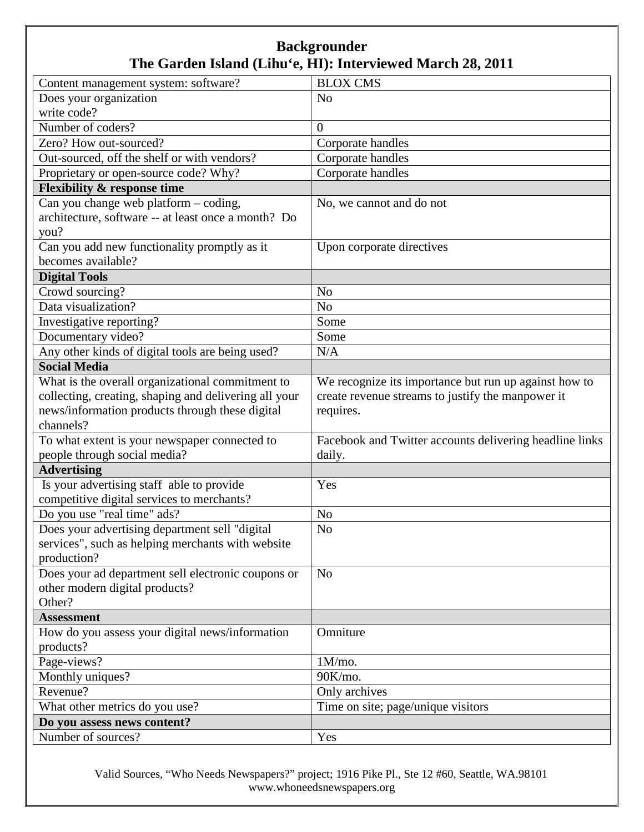| Content management system: software?                  | <b>BLOX CMS</b>                                         |
|-------------------------------------------------------|---------------------------------------------------------|
| Does your organization                                | N <sub>o</sub>                                          |
| write code?                                           |                                                         |
| Number of coders?                                     | $\overline{0}$                                          |
| Zero? How out-sourced?                                | Corporate handles                                       |
| Out-sourced, off the shelf or with vendors?           | Corporate handles                                       |
| Proprietary or open-source code? Why?                 | Corporate handles                                       |
| <b>Flexibility &amp; response time</b>                |                                                         |
| Can you change web platform - coding,                 | No, we cannot and do not                                |
| architecture, software -- at least once a month? Do   |                                                         |
| you?                                                  |                                                         |
| Can you add new functionality promptly as it          | Upon corporate directives                               |
| becomes available?                                    |                                                         |
| <b>Digital Tools</b>                                  |                                                         |
| Crowd sourcing?                                       | N <sub>o</sub>                                          |
| Data visualization?                                   | N <sub>o</sub>                                          |
| Investigative reporting?                              | Some                                                    |
| Documentary video?                                    | Some                                                    |
| Any other kinds of digital tools are being used?      | N/A                                                     |
| <b>Social Media</b>                                   |                                                         |
| What is the overall organizational commitment to      | We recognize its importance but run up against how to   |
| collecting, creating, shaping and delivering all your | create revenue streams to justify the manpower it       |
| news/information products through these digital       | requires.                                               |
| channels?                                             |                                                         |
| To what extent is your newspaper connected to         | Facebook and Twitter accounts delivering headline links |
| people through social media?                          | daily.                                                  |
| <b>Advertising</b>                                    |                                                         |
| Is your advertising staff able to provide             | Yes                                                     |
| competitive digital services to merchants?            |                                                         |
| Do you use "real time" ads?                           | No                                                      |
| Does your advertising department sell "digital        | N <sub>o</sub>                                          |
| services", such as helping merchants with website     |                                                         |
| production?                                           |                                                         |
| Does your ad department sell electronic coupons or    | N <sub>o</sub>                                          |
| other modern digital products?                        |                                                         |
| Other?                                                |                                                         |
| <b>Assessment</b>                                     |                                                         |
| How do you assess your digital news/information       | Omniture                                                |
| products?                                             |                                                         |
| Page-views?                                           | 1M/mo.                                                  |
| Monthly uniques?                                      | 90K/mo.                                                 |
| Revenue?                                              | Only archives                                           |
| What other metrics do you use?                        | Time on site; page/unique visitors                      |
| Do you assess news content?                           |                                                         |
| Number of sources?                                    | Yes                                                     |

Valid Sources, "Who Needs Newspapers?" project; 1916 Pike Pl., Ste 12 #60, Seattle, WA.98101 www.whoneedsnewspapers.org